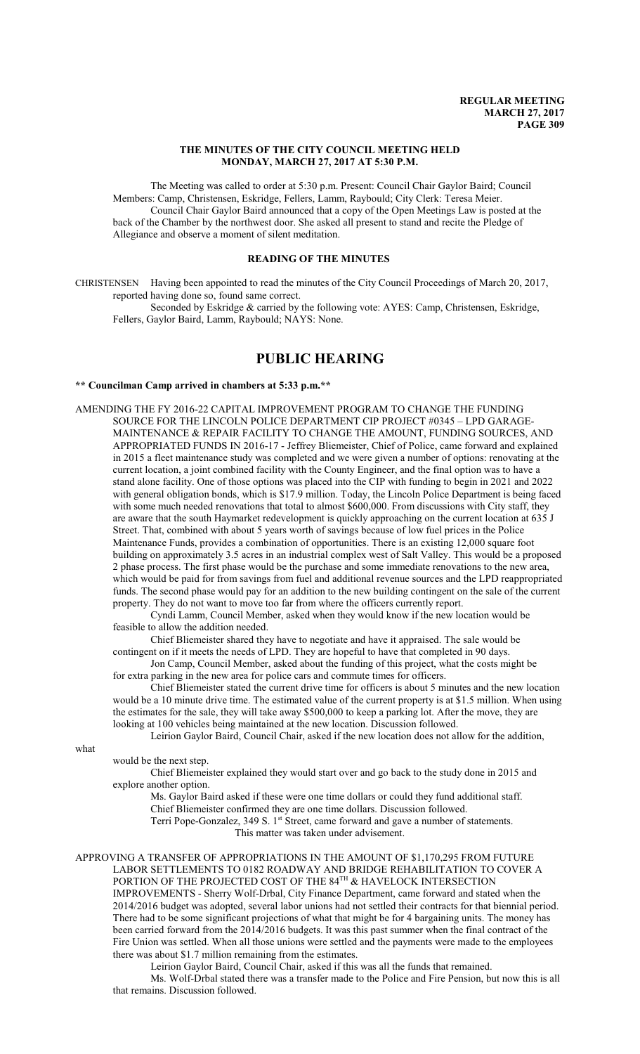# **THE MINUTES OF THE CITY COUNCIL MEETING HELD MONDAY, MARCH 27, 2017 AT 5:30 P.M.**

The Meeting was called to order at 5:30 p.m. Present: Council Chair Gaylor Baird; Council Members: Camp, Christensen, Eskridge, Fellers, Lamm, Raybould; City Clerk: Teresa Meier. Council Chair Gaylor Baird announced that a copy of the Open Meetings Law is posted at the back of the Chamber by the northwest door. She asked all present to stand and recite the Pledge of Allegiance and observe a moment of silent meditation.

# **READING OF THE MINUTES**

CHRISTENSEN Having been appointed to read the minutes of the City Council Proceedings of March 20, 2017, reported having done so, found same correct.

Seconded by Eskridge & carried by the following vote: AYES: Camp, Christensen, Eskridge, Fellers, Gaylor Baird, Lamm, Raybould; NAYS: None.

# **PUBLIC HEARING**

## **\*\* Councilman Camp arrived in chambers at 5:33 p.m.\*\***

AMENDING THE FY 2016-22 CAPITAL IMPROVEMENT PROGRAM TO CHANGE THE FUNDING SOURCE FOR THE LINCOLN POLICE DEPARTMENT CIP PROJECT #0345 – LPD GARAGE-MAINTENANCE & REPAIR FACILITY TO CHANGE THE AMOUNT, FUNDING SOURCES, AND APPROPRIATED FUNDS IN 2016-17 - Jeffrey Bliemeister, Chief of Police, came forward and explained in 2015 a fleet maintenance study was completed and we were given a number of options: renovating at the current location, a joint combined facility with the County Engineer, and the final option was to have a stand alone facility. One of those options was placed into the CIP with funding to begin in 2021 and 2022 with general obligation bonds, which is \$17.9 million. Today, the Lincoln Police Department is being faced with some much needed renovations that total to almost \$600,000. From discussions with City staff, they are aware that the south Haymarket redevelopment is quickly approaching on the current location at 635 J Street. That, combined with about 5 years worth of savings because of low fuel prices in the Police Maintenance Funds, provides a combination of opportunities. There is an existing 12,000 square foot building on approximately 3.5 acres in an industrial complex west of Salt Valley. This would be a proposed 2 phase process. The first phase would be the purchase and some immediate renovations to the new area, which would be paid for from savings from fuel and additional revenue sources and the LPD reappropriated funds. The second phase would pay for an addition to the new building contingent on the sale of the current property. They do not want to move too far from where the officers currently report.

Cyndi Lamm, Council Member, asked when they would know if the new location would be feasible to allow the addition needed.

Chief Bliemeister shared they have to negotiate and have it appraised. The sale would be contingent on if it meets the needs of LPD. They are hopeful to have that completed in 90 days.

Jon Camp, Council Member, asked about the funding of this project, what the costs might be for extra parking in the new area for police cars and commute times for officers.

Chief Bliemeister stated the current drive time for officers is about 5 minutes and the new location would be a 10 minute drive time. The estimated value of the current property is at \$1.5 million. When using the estimates for the sale, they will take away \$500,000 to keep a parking lot. After the move, they are looking at 100 vehicles being maintained at the new location. Discussion followed.

Leirion Gaylor Baird, Council Chair, asked if the new location does not allow for the addition,

what

would be the next step.

Chief Bliemeister explained they would start over and go back to the study done in 2015 and explore another option.

Ms. Gaylor Baird asked if these were one time dollars or could they fund additional staff. Chief Bliemeister confirmed they are one time dollars. Discussion followed. Terri Pope-Gonzalez, 349 S. 1<sup>st</sup> Street, came forward and gave a number of statements.

This matter was taken under advisement.

APPROVING A TRANSFER OF APPROPRIATIONS IN THE AMOUNT OF \$1,170,295 FROM FUTURE LABOR SETTLEMENTS TO 0182 ROADWAY AND BRIDGE REHABILITATION TO COVER A PORTION OF THE PROJECTED COST OF THE 84 $^{\text{\tiny{TH}}}$  & HAVELOCK INTERSECTION IMPROVEMENTS - Sherry Wolf-Drbal, City Finance Department, came forward and stated when the 2014/2016 budget was adopted, several labor unions had not settled their contracts for that biennial period. There had to be some significant projections of what that might be for 4 bargaining units. The money has been carried forward from the 2014/2016 budgets. It was this past summer when the final contract of the Fire Union was settled. When all those unions were settled and the payments were made to the employees there was about \$1.7 million remaining from the estimates.

Leirion Gaylor Baird, Council Chair, asked if this was all the funds that remained.

Ms. Wolf-Drbal stated there was a transfer made to the Police and Fire Pension, but now this is all that remains. Discussion followed.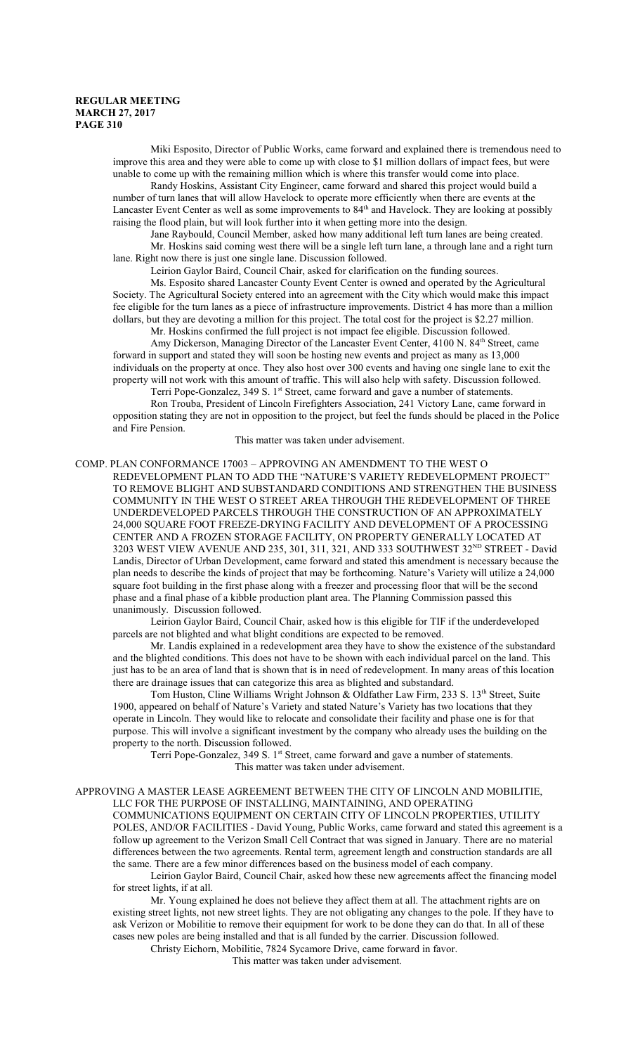Miki Esposito, Director of Public Works, came forward and explained there is tremendous need to improve this area and they were able to come up with close to \$1 million dollars of impact fees, but were unable to come up with the remaining million which is where this transfer would come into place.

Randy Hoskins, Assistant City Engineer, came forward and shared this project would build a number of turn lanes that will allow Havelock to operate more efficiently when there are events at the Lancaster Event Center as well as some improvements to 84<sup>th</sup> and Havelock. They are looking at possibly raising the flood plain, but will look further into it when getting more into the design.

Jane Raybould, Council Member, asked how many additional left turn lanes are being created. Mr. Hoskins said coming west there will be a single left turn lane, a through lane and a right turn lane. Right now there is just one single lane. Discussion followed.

Leirion Gaylor Baird, Council Chair, asked for clarification on the funding sources.

Ms. Esposito shared Lancaster County Event Center is owned and operated by the Agricultural Society. The Agricultural Society entered into an agreement with the City which would make this impact fee eligible for the turn lanes as a piece of infrastructure improvements. District 4 has more than a million dollars, but they are devoting a million for this project. The total cost for the project is \$2.27 million.

Mr. Hoskins confirmed the full project is not impact fee eligible. Discussion followed.

Amy Dickerson, Managing Director of the Lancaster Event Center, 4100 N. 84<sup>th</sup> Street, came forward in support and stated they will soon be hosting new events and project as many as 13,000 individuals on the property at once. They also host over 300 events and having one single lane to exit the property will not work with this amount of traffic. This will also help with safety. Discussion followed.

Terri Pope-Gonzalez, 349 S. 1<sup>st</sup> Street, came forward and gave a number of statements.

Ron Trouba, President of Lincoln Firefighters Association, 241 Victory Lane, came forward in opposition stating they are not in opposition to the project, but feel the funds should be placed in the Police and Fire Pension.

This matter was taken under advisement.

COMP. PLAN CONFORMANCE 17003 – APPROVING AN AMENDMENT TO THE WEST O REDEVELOPMENT PLAN TO ADD THE "NATURE'S VARIETY REDEVELOPMENT PROJECT" TO REMOVE BLIGHT AND SUBSTANDARD CONDITIONS AND STRENGTHEN THE BUSINESS COMMUNITY IN THE WEST O STREET AREA THROUGH THE REDEVELOPMENT OF THREE UNDERDEVELOPED PARCELS THROUGH THE CONSTRUCTION OF AN APPROXIMATELY 24,000 SQUARE FOOT FREEZE-DRYING FACILITY AND DEVELOPMENT OF A PROCESSING CENTER AND A FROZEN STORAGE FACILITY, ON PROPERTY GENERALLY LOCATED AT 3203 WEST VIEW AVENUE AND 235, 301, 311, 321, AND 333 SOUTHWEST 32<sup>ND</sup> STREET - David Landis, Director of Urban Development, came forward and stated this amendment is necessary because the plan needs to describe the kinds of project that may be forthcoming. Nature's Variety will utilize a 24,000 square foot building in the first phase along with a freezer and processing floor that will be the second phase and a final phase of a kibble production plant area. The Planning Commission passed this unanimously. Discussion followed.

Leirion Gaylor Baird, Council Chair, asked how is this eligible for TIF if the underdeveloped parcels are not blighted and what blight conditions are expected to be removed.

Mr. Landis explained in a redevelopment area they have to show the existence of the substandard and the blighted conditions. This does not have to be shown with each individual parcel on the land. This just has to be an area of land that is shown that is in need of redevelopment. In many areas of this location there are drainage issues that can categorize this area as blighted and substandard.

Tom Huston, Cline Williams Wright Johnson & Oldfather Law Firm, 233 S. 13<sup>th</sup> Street, Suite 1900, appeared on behalf of Nature's Variety and stated Nature's Variety has two locations that they operate in Lincoln. They would like to relocate and consolidate their facility and phase one is for that purpose. This will involve a significant investment by the company who already uses the building on the property to the north. Discussion followed.

Terri Pope-Gonzalez, 349 S. 1<sup>st</sup> Street, came forward and gave a number of statements. This matter was taken under advisement.

APPROVING A MASTER LEASE AGREEMENT BETWEEN THE CITY OF LINCOLN AND MOBILITIE,

LLC FOR THE PURPOSE OF INSTALLING, MAINTAINING, AND OPERATING COMMUNICATIONS EQUIPMENT ON CERTAIN CITY OF LINCOLN PROPERTIES, UTILITY POLES, AND/OR FACILITIES - David Young, Public Works, came forward and stated this agreement is a follow up agreement to the Verizon Small Cell Contract that was signed in January. There are no material differences between the two agreements. Rental term, agreement length and construction standards are all the same. There are a few minor differences based on the business model of each company.

Leirion Gaylor Baird, Council Chair, asked how these new agreements affect the financing model for street lights, if at all.

Mr. Young explained he does not believe they affect them at all. The attachment rights are on existing street lights, not new street lights. They are not obligating any changes to the pole. If they have to ask Verizon or Mobilitie to remove their equipment for work to be done they can do that. In all of these cases new poles are being installed and that is all funded by the carrier. Discussion followed.

Christy Eichorn, Mobilitie, 7824 Sycamore Drive, came forward in favor.

This matter was taken under advisement.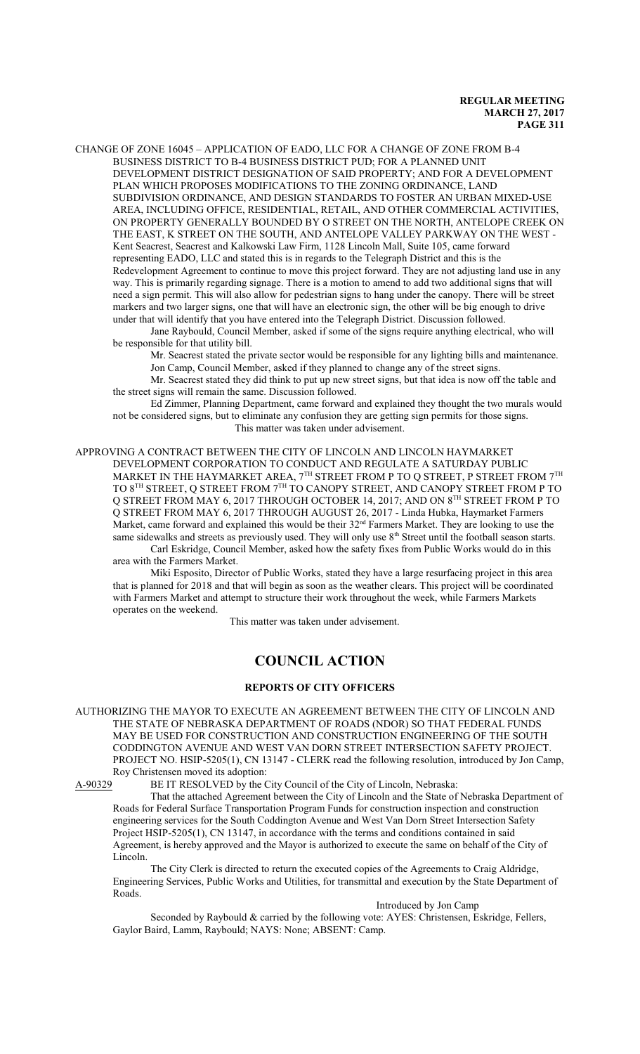CHANGE OF ZONE 16045 – APPLICATION OF EADO, LLC FOR A CHANGE OF ZONE FROM B-4 BUSINESS DISTRICT TO B-4 BUSINESS DISTRICT PUD; FOR A PLANNED UNIT DEVELOPMENT DISTRICT DESIGNATION OF SAID PROPERTY; AND FOR A DEVELOPMENT PLAN WHICH PROPOSES MODIFICATIONS TO THE ZONING ORDINANCE, LAND SUBDIVISION ORDINANCE, AND DESIGN STANDARDS TO FOSTER AN URBAN MIXED-USE AREA, INCLUDING OFFICE, RESIDENTIAL, RETAIL, AND OTHER COMMERCIAL ACTIVITIES, ON PROPERTY GENERALLY BOUNDED BY O STREET ON THE NORTH, ANTELOPE CREEK ON THE EAST, K STREET ON THE SOUTH, AND ANTELOPE VALLEY PARKWAY ON THE WEST - Kent Seacrest, Seacrest and Kalkowski Law Firm, 1128 Lincoln Mall, Suite 105, came forward representing EADO, LLC and stated this is in regards to the Telegraph District and this is the Redevelopment Agreement to continue to move this project forward. They are not adjusting land use in any way. This is primarily regarding signage. There is a motion to amend to add two additional signs that will need a sign permit. This will also allow for pedestrian signs to hang under the canopy. There will be street markers and two larger signs, one that will have an electronic sign, the other will be big enough to drive under that will identify that you have entered into the Telegraph District. Discussion followed.

Jane Raybould, Council Member, asked if some of the signs require anything electrical, who will be responsible for that utility bill.

Mr. Seacrest stated the private sector would be responsible for any lighting bills and maintenance. Jon Camp, Council Member, asked if they planned to change any of the street signs.

Mr. Seacrest stated they did think to put up new street signs, but that idea is now off the table and the street signs will remain the same. Discussion followed.

Ed Zimmer, Planning Department, came forward and explained they thought the two murals would not be considered signs, but to eliminate any confusion they are getting sign permits for those signs. This matter was taken under advisement.

APPROVING A CONTRACT BETWEEN THE CITY OF LINCOLN AND LINCOLN HAYMARKET DEVELOPMENT CORPORATION TO CONDUCT AND REGULATE A SATURDAY PUBLIC MARKET IN THE HAYMARKET AREA,  $7^{\rm TH}$  STREET FROM P TO Q STREET, P STREET FROM  $7^{\rm TH}$ TO 8TH STREET, Q STREET FROM 7<sup>th</sup> TO CANOPY STREET, AND CANOPY STREET FROM P TO Q STREET FROM MAY 6, 2017 THROUGH OCTOBER 14, 2017; AND ON 8TH STREET FROM P TO Q STREET FROM MAY 6, 2017 THROUGH AUGUST 26, 2017 - Linda Hubka, Haymarket Farmers Market, came forward and explained this would be their  $32<sup>nd</sup>$  Farmers Market. They are looking to use the same sidewalks and streets as previously used. They will only use  $8<sup>th</sup>$  Street until the football season starts. Carl Eskridge, Council Member, asked how the safety fixes from Public Works would do in this area with the Farmers Market.

Miki Esposito, Director of Public Works, stated they have a large resurfacing project in this area that is planned for 2018 and that will begin as soon as the weather clears. This project will be coordinated with Farmers Market and attempt to structure their work throughout the week, while Farmers Markets operates on the weekend.

This matter was taken under advisement.

# **COUNCIL ACTION**

# **REPORTS OF CITY OFFICERS**

AUTHORIZING THE MAYOR TO EXECUTE AN AGREEMENT BETWEEN THE CITY OF LINCOLN AND THE STATE OF NEBRASKA DEPARTMENT OF ROADS (NDOR) SO THAT FEDERAL FUNDS MAY BE USED FOR CONSTRUCTION AND CONSTRUCTION ENGINEERING OF THE SOUTH CODDINGTON AVENUE AND WEST VAN DORN STREET INTERSECTION SAFETY PROJECT. PROJECT NO. HSIP-5205(1), CN 13147 - CLERK read the following resolution, introduced by Jon Camp, Roy Christensen moved its adoption:<br>A-90329 BE IT RESOLVED by the C

BE IT RESOLVED by the City Council of the City of Lincoln, Nebraska:

That the attached Agreement between the City of Lincoln and the State of Nebraska Department of Roads for Federal Surface Transportation Program Funds for construction inspection and construction engineering services for the South Coddington Avenue and West Van Dorn Street Intersection Safety Project HSIP-5205(1), CN 13147, in accordance with the terms and conditions contained in said Agreement, is hereby approved and the Mayor is authorized to execute the same on behalf of the City of Lincoln.

The City Clerk is directed to return the executed copies of the Agreements to Craig Aldridge, Engineering Services, Public Works and Utilities, for transmittal and execution by the State Department of Roads.

Introduced by Jon Camp

Seconded by Raybould & carried by the following vote: AYES: Christensen, Eskridge, Fellers, Gaylor Baird, Lamm, Raybould; NAYS: None; ABSENT: Camp.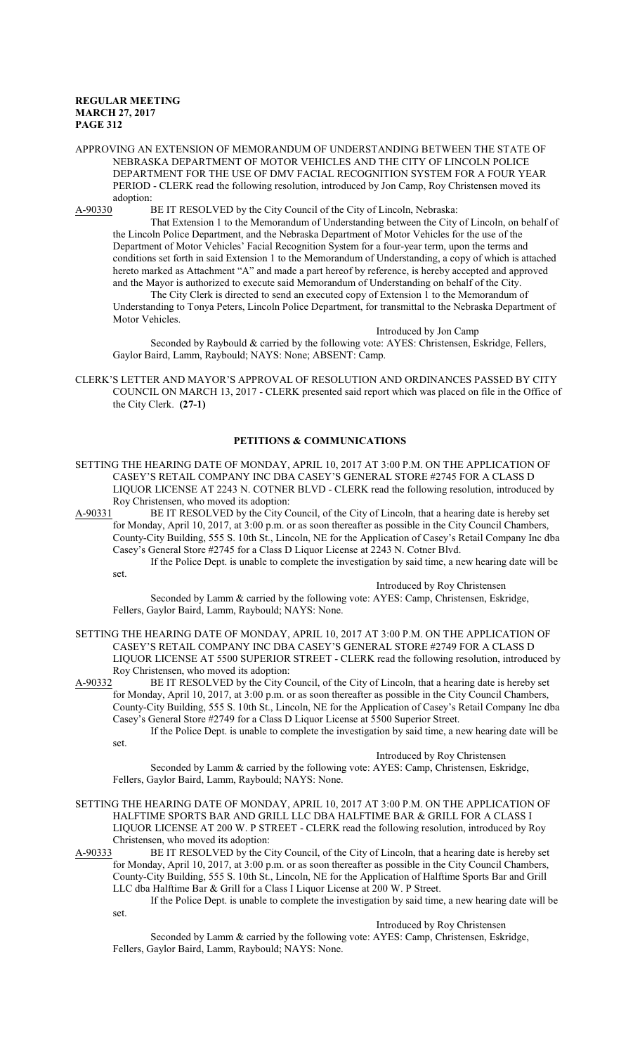APPROVING AN EXTENSION OF MEMORANDUM OF UNDERSTANDING BETWEEN THE STATE OF NEBRASKA DEPARTMENT OF MOTOR VEHICLES AND THE CITY OF LINCOLN POLICE DEPARTMENT FOR THE USE OF DMV FACIAL RECOGNITION SYSTEM FOR A FOUR YEAR PERIOD - CLERK read the following resolution, introduced by Jon Camp, Roy Christensen moved its adoption:<br>A-90330 I

BE IT RESOLVED by the City Council of the City of Lincoln, Nebraska:

That Extension 1 to the Memorandum of Understanding between the City of Lincoln, on behalf of the Lincoln Police Department, and the Nebraska Department of Motor Vehicles for the use of the Department of Motor Vehicles' Facial Recognition System for a four-year term, upon the terms and conditions set forth in said Extension 1 to the Memorandum of Understanding, a copy of which is attached hereto marked as Attachment "A" and made a part hereof by reference, is hereby accepted and approved and the Mayor is authorized to execute said Memorandum of Understanding on behalf of the City.

The City Clerk is directed to send an executed copy of Extension 1 to the Memorandum of Understanding to Tonya Peters, Lincoln Police Department, for transmittal to the Nebraska Department of Motor Vehicles.

Introduced by Jon Camp

Seconded by Raybould & carried by the following vote: AYES: Christensen, Eskridge, Fellers, Gaylor Baird, Lamm, Raybould; NAYS: None; ABSENT: Camp.

CLERK'S LETTER AND MAYOR'S APPROVAL OF RESOLUTION AND ORDINANCES PASSED BY CITY COUNCIL ON MARCH 13, 2017 - CLERK presented said report which was placed on file in the Office of the City Clerk. **(27-1)**

# **PETITIONS & COMMUNICATIONS**

- SETTING THE HEARING DATE OF MONDAY, APRIL 10, 2017 AT 3:00 P.M. ON THE APPLICATION OF CASEY'S RETAIL COMPANY INC DBA CASEY'S GENERAL STORE #2745 FOR A CLASS D LIQUOR LICENSE AT 2243 N. COTNER BLVD - CLERK read the following resolution, introduced by Roy Christensen, who moved its adoption:<br>A-90331 BE IT RESOLVED by the City C
- BE IT RESOLVED by the City Council, of the City of Lincoln, that a hearing date is hereby set for Monday, April 10, 2017, at 3:00 p.m. or as soon thereafter as possible in the City Council Chambers, County-City Building, 555 S. 10th St., Lincoln, NE for the Application of Casey's Retail Company Inc dba Casey's General Store #2745 for a Class D Liquor License at 2243 N. Cotner Blvd.
	- If the Police Dept. is unable to complete the investigation by said time, a new hearing date will be set.

Introduced by Roy Christensen

Seconded by Lamm & carried by the following vote: AYES: Camp, Christensen, Eskridge, Fellers, Gaylor Baird, Lamm, Raybould; NAYS: None.

SETTING THE HEARING DATE OF MONDAY, APRIL 10, 2017 AT 3:00 P.M. ON THE APPLICATION OF CASEY'S RETAIL COMPANY INC DBA CASEY'S GENERAL STORE #2749 FOR A CLASS D LIQUOR LICENSE AT 5500 SUPERIOR STREET - CLERK read the following resolution, introduced by Roy Christensen, who moved its adoption:

A-90332 BE IT RESOLVED by the City Council, of the City of Lincoln, that a hearing date is hereby set for Monday, April 10, 2017, at 3:00 p.m. or as soon thereafter as possible in the City Council Chambers, County-City Building, 555 S. 10th St., Lincoln, NE for the Application of Casey's Retail Company Inc dba Casey's General Store #2749 for a Class D Liquor License at 5500 Superior Street.

If the Police Dept. is unable to complete the investigation by said time, a new hearing date will be set.

# Introduced by Roy Christensen

Seconded by Lamm & carried by the following vote: AYES: Camp, Christensen, Eskridge, Fellers, Gaylor Baird, Lamm, Raybould; NAYS: None.

SETTING THE HEARING DATE OF MONDAY, APRIL 10, 2017 AT 3:00 P.M. ON THE APPLICATION OF HALFTIME SPORTS BAR AND GRILL LLC DBA HALFTIME BAR & GRILL FOR A CLASS I LIQUOR LICENSE AT 200 W. P STREET - CLERK read the following resolution, introduced by Roy Christensen, who moved its adoption:

A-90333 BE IT RESOLVED by the City Council, of the City of Lincoln, that a hearing date is hereby set for Monday, April 10, 2017, at 3:00 p.m. or as soon thereafter as possible in the City Council Chambers, County-City Building, 555 S. 10th St., Lincoln, NE for the Application of Halftime Sports Bar and Grill LLC dba Halftime Bar & Grill for a Class I Liquor License at 200 W. P Street.

If the Police Dept. is unable to complete the investigation by said time, a new hearing date will be set.

Introduced by Roy Christensen

Seconded by Lamm & carried by the following vote: AYES: Camp, Christensen, Eskridge, Fellers, Gaylor Baird, Lamm, Raybould; NAYS: None.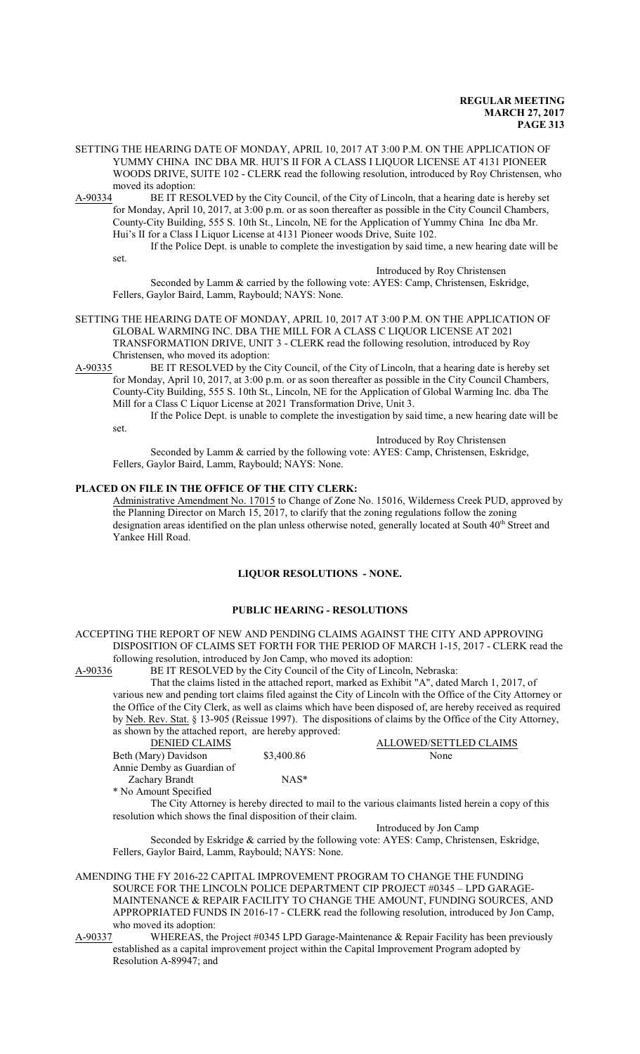SETTING THE HEARING DATE OF MONDAY, APRIL 10, 2017 AT 3:00 P.M. ON THE APPLICATION OF YUMMY CHINA INC DBA MR. HUI'S II FOR A CLASS I LIQUOR LICENSE AT 4131 PIONEER WOODS DRIVE, SUITE 102 - CLERK read the following resolution, introduced by Roy Christensen, who moved its adoption:

A-90334 BE IT RESOLVED by the City Council, of the City of Lincoln, that a hearing date is hereby set for Monday, April 10, 2017, at 3:00 p.m. or as soon thereafter as possible in the City Council Chambers, County-City Building, 555 S. 10th St., Lincoln, NE for the Application of Yummy China Inc dba Mr. Hui's II for a Class I Liquor License at 4131 Pioneer woods Drive, Suite 102.

If the Police Dept. is unable to complete the investigation by said time, a new hearing date will be set.

Introduced by Roy Christensen

Seconded by Lamm & carried by the following vote: AYES: Camp, Christensen, Eskridge, Fellers, Gaylor Baird, Lamm, Raybould; NAYS: None.

- SETTING THE HEARING DATE OF MONDAY, APRIL 10, 2017 AT 3:00 P.M. ON THE APPLICATION OF GLOBAL WARMING INC. DBA THE MILL FOR A CLASS C LIQUOR LICENSE AT 2021 TRANSFORMATION DRIVE, UNIT 3 - CLERK read the following resolution, introduced by Roy Christensen, who moved its adoption:
- A-90335 BE IT RESOLVED by the City Council, of the City of Lincoln, that a hearing date is hereby set for Monday, April 10, 2017, at 3:00 p.m. or as soon thereafter as possible in the City Council Chambers, County-City Building, 555 S. 10th St., Lincoln, NE for the Application of Global Warming Inc. dba The Mill for a Class C Liquor License at 2021 Transformation Drive, Unit 3.

If the Police Dept. is unable to complete the investigation by said time, a new hearing date will be set.

Introduced by Roy Christensen

Seconded by Lamm & carried by the following vote: AYES: Camp, Christensen, Eskridge, Fellers, Gaylor Baird, Lamm, Raybould; NAYS: None.

# **PLACED ON FILE IN THE OFFICE OF THE CITY CLERK:**

Administrative Amendment No. 17015 to Change of Zone No. 15016, Wilderness Creek PUD, approved by the Planning Director on March 15, 2017, to clarify that the zoning regulations follow the zoning designation areas identified on the plan unless otherwise noted, generally located at South 40<sup>th</sup> Street and Yankee Hill Road.

# **LIQUOR RESOLUTIONS - NONE.**

#### **PUBLIC HEARING - RESOLUTIONS**

# ACCEPTING THE REPORT OF NEW AND PENDING CLAIMS AGAINST THE CITY AND APPROVING DISPOSITION OF CLAIMS SET FORTH FOR THE PERIOD OF MARCH 1-15, 2017 - CLERK read the

following resolution, introduced by Jon Camp, who moved its adoption:<br>A-90336 BE IT RESOLVED by the City Council of the City of Lincoln, BE IT RESOLVED by the City Council of the City of Lincoln, Nebraska:

That the claims listed in the attached report, marked as Exhibit "A", dated March 1, 2017, of various new and pending tort claims filed against the City of Lincoln with the Office of the City Attorney or the Office of the City Clerk, as well as claims which have been disposed of, are hereby received as required by Neb. Rev. Stat. § 13-905 (Reissue 1997). The dispositions of claims by the Office of the City Attorney, as shown by the attached report, are hereby approved:

| <b>DENIED CLAIMS</b>       |                  | <b>ALLOWED/SETTLED CLAIMS</b> |
|----------------------------|------------------|-------------------------------|
| Beth (Mary) Davidson       | \$3,400.86       | None                          |
| Annie Demby as Guardian of |                  |                               |
| Zachary Brandt             | NAS <sup>*</sup> |                               |
| * No Amount Specified      |                  |                               |

The City Attorney is hereby directed to mail to the various claimants listed herein a copy of this resolution which shows the final disposition of their claim.

Introduced by Jon Camp

Seconded by Eskridge & carried by the following vote: AYES: Camp, Christensen, Eskridge, Fellers, Gaylor Baird, Lamm, Raybould; NAYS: None.

AMENDING THE FY 2016-22 CAPITAL IMPROVEMENT PROGRAM TO CHANGE THE FUNDING SOURCE FOR THE LINCOLN POLICE DEPARTMENT CIP PROJECT #0345 – LPD GARAGE-MAINTENANCE & REPAIR FACILITY TO CHANGE THE AMOUNT, FUNDING SOURCES, AND APPROPRIATED FUNDS IN 2016-17 - CLERK read the following resolution, introduced by Jon Camp, who moved its adoption:<br>A-90337 WHEREAS, the

WHEREAS, the Project  $\#0345$  LPD Garage-Maintenance & Repair Facility has been previously established as a capital improvement project within the Capital Improvement Program adopted by Resolution A-89947; and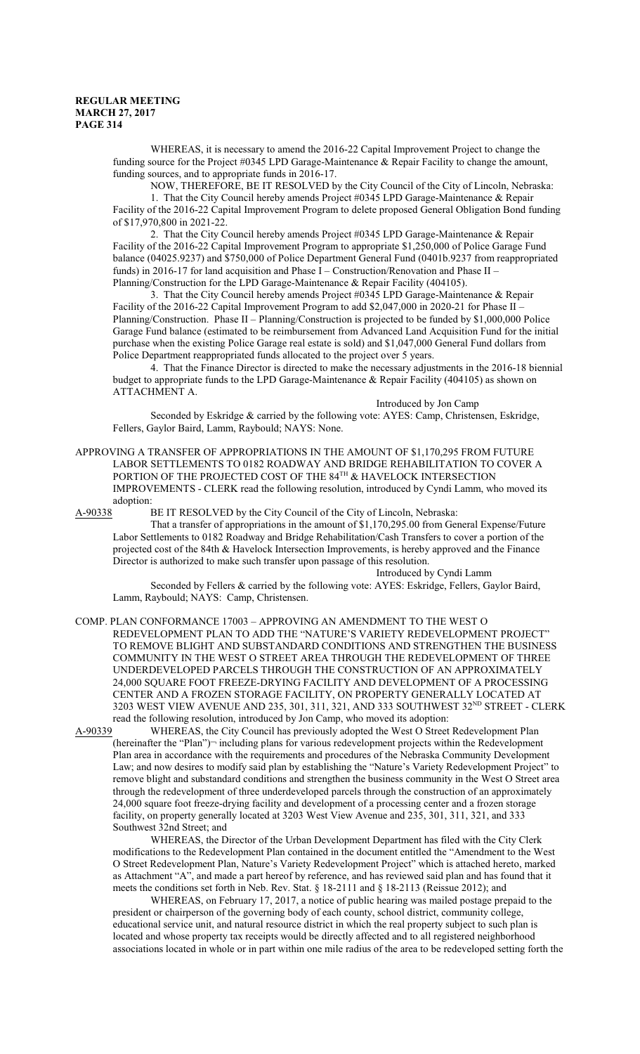WHEREAS, it is necessary to amend the 2016-22 Capital Improvement Project to change the funding source for the Project #0345 LPD Garage-Maintenance & Repair Facility to change the amount, funding sources, and to appropriate funds in 2016-17.

NOW, THEREFORE, BE IT RESOLVED by the City Council of the City of Lincoln, Nebraska:

1. That the City Council hereby amends Project #0345 LPD Garage-Maintenance & Repair Facility of the 2016-22 Capital Improvement Program to delete proposed General Obligation Bond funding of \$17,970,800 in 2021-22.

2. That the City Council hereby amends Project #0345 LPD Garage-Maintenance & Repair Facility of the 2016-22 Capital Improvement Program to appropriate \$1,250,000 of Police Garage Fund balance (04025.9237) and \$750,000 of Police Department General Fund (0401b.9237 from reappropriated funds) in 2016-17 for land acquisition and Phase I – Construction/Renovation and Phase II – Planning/Construction for the LPD Garage-Maintenance & Repair Facility (404105).

3. That the City Council hereby amends Project #0345 LPD Garage-Maintenance & Repair Facility of the 2016-22 Capital Improvement Program to add \$2,047,000 in 2020-21 for Phase II -Planning/Construction. Phase II – Planning/Construction is projected to be funded by \$1,000,000 Police Garage Fund balance (estimated to be reimbursement from Advanced Land Acquisition Fund for the initial purchase when the existing Police Garage real estate is sold) and \$1,047,000 General Fund dollars from Police Department reappropriated funds allocated to the project over 5 years.

4. That the Finance Director is directed to make the necessary adjustments in the 2016-18 biennial budget to appropriate funds to the LPD Garage-Maintenance & Repair Facility (404105) as shown on ATTACHMENT A.

Introduced by Jon Camp

Seconded by Eskridge & carried by the following vote: AYES: Camp, Christensen, Eskridge, Fellers, Gaylor Baird, Lamm, Raybould; NAYS: None.

APPROVING A TRANSFER OF APPROPRIATIONS IN THE AMOUNT OF \$1,170,295 FROM FUTURE LABOR SETTLEMENTS TO 0182 ROADWAY AND BRIDGE REHABILITATION TO COVER A PORTION OF THE PROJECTED COST OF THE  $84^{\text{TH}}$  & HAVELOCK INTERSECTION IMPROVEMENTS - CLERK read the following resolution, introduced by Cyndi Lamm, who moved its adoption:<br>A-90338 I

BE IT RESOLVED by the City Council of the City of Lincoln, Nebraska:

That a transfer of appropriations in the amount of \$1,170,295.00 from General Expense/Future Labor Settlements to 0182 Roadway and Bridge Rehabilitation/Cash Transfers to cover a portion of the projected cost of the 84th & Havelock Intersection Improvements, is hereby approved and the Finance Director is authorized to make such transfer upon passage of this resolution.

Introduced by Cyndi Lamm

Seconded by Fellers & carried by the following vote: AYES: Eskridge, Fellers, Gaylor Baird, Lamm, Raybould; NAYS: Camp, Christensen.

COMP. PLAN CONFORMANCE 17003 – APPROVING AN AMENDMENT TO THE WEST O REDEVELOPMENT PLAN TO ADD THE "NATURE'S VARIETY REDEVELOPMENT PROJECT" TO REMOVE BLIGHT AND SUBSTANDARD CONDITIONS AND STRENGTHEN THE BUSINESS COMMUNITY IN THE WEST O STREET AREA THROUGH THE REDEVELOPMENT OF THREE UNDERDEVELOPED PARCELS THROUGH THE CONSTRUCTION OF AN APPROXIMATELY 24,000 SQUARE FOOT FREEZE-DRYING FACILITY AND DEVELOPMENT OF A PROCESSING CENTER AND A FROZEN STORAGE FACILITY, ON PROPERTY GENERALLY LOCATED AT 3203 WEST VIEW AVENUE AND 235, 301, 311, 321, AND 333 SOUTHWEST 32<sup>ND</sup> STREET - CLERK read the following resolution, introduced by Jon Camp, who moved its adoption:

A-90339 WHEREAS, the City Council has previously adopted the West O Street Redevelopment Plan (hereinafter the "Plan")¬ including plans for various redevelopment projects within the Redevelopment Plan area in accordance with the requirements and procedures of the Nebraska Community Development Law; and now desires to modify said plan by establishing the "Nature's Variety Redevelopment Project" to remove blight and substandard conditions and strengthen the business community in the West O Street area through the redevelopment of three underdeveloped parcels through the construction of an approximately 24,000 square foot freeze-drying facility and development of a processing center and a frozen storage facility, on property generally located at 3203 West View Avenue and 235, 301, 311, 321, and 333 Southwest 32nd Street; and

WHEREAS, the Director of the Urban Development Department has filed with the City Clerk modifications to the Redevelopment Plan contained in the document entitled the "Amendment to the West O Street Redevelopment Plan, Nature's Variety Redevelopment Project" which is attached hereto, marked as Attachment "A", and made a part hereof by reference, and has reviewed said plan and has found that it meets the conditions set forth in Neb. Rev. Stat. § 18-2111 and § 18-2113 (Reissue 2012); and

WHEREAS, on February 17, 2017, a notice of public hearing was mailed postage prepaid to the president or chairperson of the governing body of each county, school district, community college, educational service unit, and natural resource district in which the real property subject to such plan is located and whose property tax receipts would be directly affected and to all registered neighborhood associations located in whole or in part within one mile radius of the area to be redeveloped setting forth the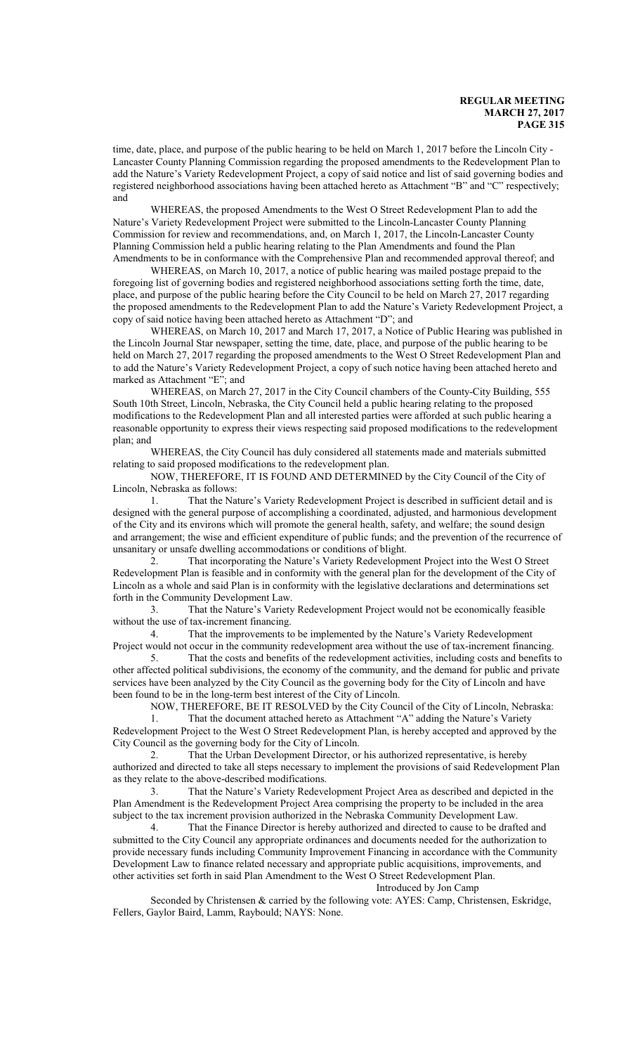time, date, place, and purpose of the public hearing to be held on March 1, 2017 before the Lincoln City - Lancaster County Planning Commission regarding the proposed amendments to the Redevelopment Plan to add the Nature's Variety Redevelopment Project, a copy of said notice and list of said governing bodies and registered neighborhood associations having been attached hereto as Attachment "B" and "C" respectively; and

WHEREAS, the proposed Amendments to the West O Street Redevelopment Plan to add the Nature's Variety Redevelopment Project were submitted to the Lincoln-Lancaster County Planning Commission for review and recommendations, and, on March 1, 2017, the Lincoln-Lancaster County Planning Commission held a public hearing relating to the Plan Amendments and found the Plan Amendments to be in conformance with the Comprehensive Plan and recommended approval thereof; and

WHEREAS, on March 10, 2017, a notice of public hearing was mailed postage prepaid to the foregoing list of governing bodies and registered neighborhood associations setting forth the time, date, place, and purpose of the public hearing before the City Council to be held on March 27, 2017 regarding the proposed amendments to the Redevelopment Plan to add the Nature's Variety Redevelopment Project, a copy of said notice having been attached hereto as Attachment "D"; and

WHEREAS, on March 10, 2017 and March 17, 2017, a Notice of Public Hearing was published in the Lincoln Journal Star newspaper, setting the time, date, place, and purpose of the public hearing to be held on March 27, 2017 regarding the proposed amendments to the West O Street Redevelopment Plan and to add the Nature's Variety Redevelopment Project, a copy of such notice having been attached hereto and marked as Attachment "E"; and

WHEREAS, on March 27, 2017 in the City Council chambers of the County-City Building, 555 South 10th Street, Lincoln, Nebraska, the City Council held a public hearing relating to the proposed modifications to the Redevelopment Plan and all interested parties were afforded at such public hearing a reasonable opportunity to express their views respecting said proposed modifications to the redevelopment plan; and

WHEREAS, the City Council has duly considered all statements made and materials submitted relating to said proposed modifications to the redevelopment plan.

NOW, THEREFORE, IT IS FOUND AND DETERMINED by the City Council of the City of Lincoln, Nebraska as follows:

1. That the Nature's Variety Redevelopment Project is described in sufficient detail and is designed with the general purpose of accomplishing a coordinated, adjusted, and harmonious development of the City and its environs which will promote the general health, safety, and welfare; the sound design and arrangement; the wise and efficient expenditure of public funds; and the prevention of the recurrence of unsanitary or unsafe dwelling accommodations or conditions of blight.

2. That incorporating the Nature's Variety Redevelopment Project into the West O Street Redevelopment Plan is feasible and in conformity with the general plan for the development of the City of Lincoln as a whole and said Plan is in conformity with the legislative declarations and determinations set forth in the Community Development Law.

3. That the Nature's Variety Redevelopment Project would not be economically feasible without the use of tax-increment financing.

4. That the improvements to be implemented by the Nature's Variety Redevelopment Project would not occur in the community redevelopment area without the use of tax-increment financing.

5. That the costs and benefits of the redevelopment activities, including costs and benefits to other affected political subdivisions, the economy of the community, and the demand for public and private services have been analyzed by the City Council as the governing body for the City of Lincoln and have been found to be in the long-term best interest of the City of Lincoln.

NOW, THEREFORE, BE IT RESOLVED by the City Council of the City of Lincoln, Nebraska:

1. That the document attached hereto as Attachment "A" adding the Nature's Variety Redevelopment Project to the West O Street Redevelopment Plan, is hereby accepted and approved by the City Council as the governing body for the City of Lincoln.

2. That the Urban Development Director, or his authorized representative, is hereby authorized and directed to take all steps necessary to implement the provisions of said Redevelopment Plan as they relate to the above-described modifications.<br>3. That the Nature's Variety Redeve

3. That the Nature's Variety Redevelopment Project Area as described and depicted in the Plan Amendment is the Redevelopment Project Area comprising the property to be included in the area subject to the tax increment provision authorized in the Nebraska Community Development Law.

4. That the Finance Director is hereby authorized and directed to cause to be drafted and submitted to the City Council any appropriate ordinances and documents needed for the authorization to provide necessary funds including Community Improvement Financing in accordance with the Community Development Law to finance related necessary and appropriate public acquisitions, improvements, and other activities set forth in said Plan Amendment to the West O Street Redevelopment Plan. Introduced by Jon Camp

Seconded by Christensen & carried by the following vote: AYES: Camp, Christensen, Eskridge, Fellers, Gaylor Baird, Lamm, Raybould; NAYS: None.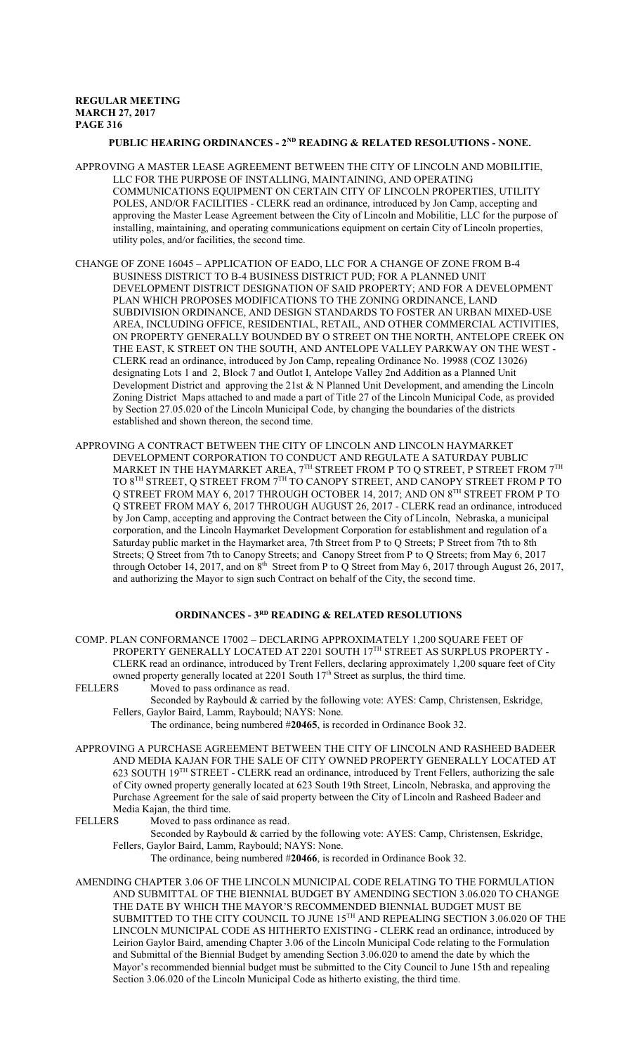# PUBLIC HEARING ORDINANCES - 2<sup>ND</sup> READING & RELATED RESOLUTIONS - NONE.

- APPROVING A MASTER LEASE AGREEMENT BETWEEN THE CITY OF LINCOLN AND MOBILITIE, LLC FOR THE PURPOSE OF INSTALLING, MAINTAINING, AND OPERATING COMMUNICATIONS EQUIPMENT ON CERTAIN CITY OF LINCOLN PROPERTIES, UTILITY POLES, AND/OR FACILITIES - CLERK read an ordinance, introduced by Jon Camp, accepting and approving the Master Lease Agreement between the City of Lincoln and Mobilitie, LLC for the purpose of installing, maintaining, and operating communications equipment on certain City of Lincoln properties, utility poles, and/or facilities, the second time.
- CHANGE OF ZONE 16045 APPLICATION OF EADO, LLC FOR A CHANGE OF ZONE FROM B-4 BUSINESS DISTRICT TO B-4 BUSINESS DISTRICT PUD; FOR A PLANNED UNIT DEVELOPMENT DISTRICT DESIGNATION OF SAID PROPERTY; AND FOR A DEVELOPMENT PLAN WHICH PROPOSES MODIFICATIONS TO THE ZONING ORDINANCE, LAND SUBDIVISION ORDINANCE, AND DESIGN STANDARDS TO FOSTER AN URBAN MIXED-USE AREA, INCLUDING OFFICE, RESIDENTIAL, RETAIL, AND OTHER COMMERCIAL ACTIVITIES, ON PROPERTY GENERALLY BOUNDED BY O STREET ON THE NORTH, ANTELOPE CREEK ON THE EAST, K STREET ON THE SOUTH, AND ANTELOPE VALLEY PARKWAY ON THE WEST - CLERK read an ordinance, introduced by Jon Camp, repealing Ordinance No. 19988 (COZ 13026) designating Lots 1 and 2, Block 7 and Outlot I, Antelope Valley 2nd Addition as a Planned Unit Development District and approving the 21st & N Planned Unit Development, and amending the Lincoln Zoning District Maps attached to and made a part of Title 27 of the Lincoln Municipal Code, as provided by Section 27.05.020 of the Lincoln Municipal Code, by changing the boundaries of the districts established and shown thereon, the second time.
- APPROVING A CONTRACT BETWEEN THE CITY OF LINCOLN AND LINCOLN HAYMARKET DEVELOPMENT CORPORATION TO CONDUCT AND REGULATE A SATURDAY PUBLIC MARKET IN THE HAYMARKET AREA,  $7^{\rm TH}$  STREET FROM P TO Q STREET, P STREET FROM  $7^{\rm TH}$ TO 8TH STREET, Q STREET FROM 7<sup>th</sup> TO CANOPY STREET, AND CANOPY STREET FROM P TO Q STREET FROM MAY 6, 2017 THROUGH OCTOBER 14, 2017; AND ON 8TH STREET FROM P TO Q STREET FROM MAY 6, 2017 THROUGH AUGUST 26, 2017 - CLERK read an ordinance, introduced by Jon Camp, accepting and approving the Contract between the City of Lincoln, Nebraska, a municipal corporation, and the Lincoln Haymarket Development Corporation for establishment and regulation of a Saturday public market in the Haymarket area, 7th Street from P to Q Streets; P Street from 7th to 8th Streets; Q Street from 7th to Canopy Streets; and Canopy Street from P to Q Streets; from May 6, 2017 through October 14, 2017, and on  $8<sup>th</sup>$  Street from P to Q Street from May 6, 2017 through August 26, 2017, and authorizing the Mayor to sign such Contract on behalf of the City, the second time.

# **ORDINANCES - 3RD READING & RELATED RESOLUTIONS**

COMP. PLAN CONFORMANCE 17002 – DECLARING APPROXIMATELY 1,200 SQUARE FEET OF PROPERTY GENERALLY LOCATED AT 2201 SOUTH 17<sup>th</sup> STREET AS SURPLUS PROPERTY -CLERK read an ordinance, introduced by Trent Fellers, declaring approximately 1,200 square feet of City owned property generally located at 2201 South 17<sup>th</sup> Street as surplus, the third time.

FELLERS Moved to pass ordinance as read.

- Seconded by Raybould & carried by the following vote: AYES: Camp, Christensen, Eskridge, Fellers, Gaylor Baird, Lamm, Raybould; NAYS: None.
	- The ordinance, being numbered #**20465**, is recorded in Ordinance Book 32.
- APPROVING A PURCHASE AGREEMENT BETWEEN THE CITY OF LINCOLN AND RASHEED BADEER AND MEDIA KAJAN FOR THE SALE OF CITY OWNED PROPERTY GENERALLY LOCATED AT 623 SOUTH 19<sup>TH</sup> STREET - CLERK read an ordinance, introduced by Trent Fellers, authorizing the sale of City owned property generally located at 623 South 19th Street, Lincoln, Nebraska, and approving the Purchase Agreement for the sale of said property between the City of Lincoln and Rasheed Badeer and Media Kajan, the third time.

- FELLERS Moved to pass ordinance as read.
	- Seconded by Raybould & carried by the following vote: AYES: Camp, Christensen, Eskridge, Fellers, Gaylor Baird, Lamm, Raybould; NAYS: None.

The ordinance, being numbered #**20466**, is recorded in Ordinance Book 32.

AMENDING CHAPTER 3.06 OF THE LINCOLN MUNICIPAL CODE RELATING TO THE FORMULATION AND SUBMITTAL OF THE BIENNIAL BUDGET BY AMENDING SECTION 3.06.020 TO CHANGE THE DATE BY WHICH THE MAYOR'S RECOMMENDED BIENNIAL BUDGET MUST BE SUBMITTED TO THE CITY COUNCIL TO JUNE  $15^{\text{\tiny{TH}}}$  AND REPEALING SECTION 3.06.020 OF THE LINCOLN MUNICIPAL CODE AS HITHERTO EXISTING - CLERK read an ordinance, introduced by Leirion Gaylor Baird, amending Chapter 3.06 of the Lincoln Municipal Code relating to the Formulation and Submittal of the Biennial Budget by amending Section 3.06.020 to amend the date by which the Mayor's recommended biennial budget must be submitted to the City Council to June 15th and repealing Section 3.06.020 of the Lincoln Municipal Code as hitherto existing, the third time.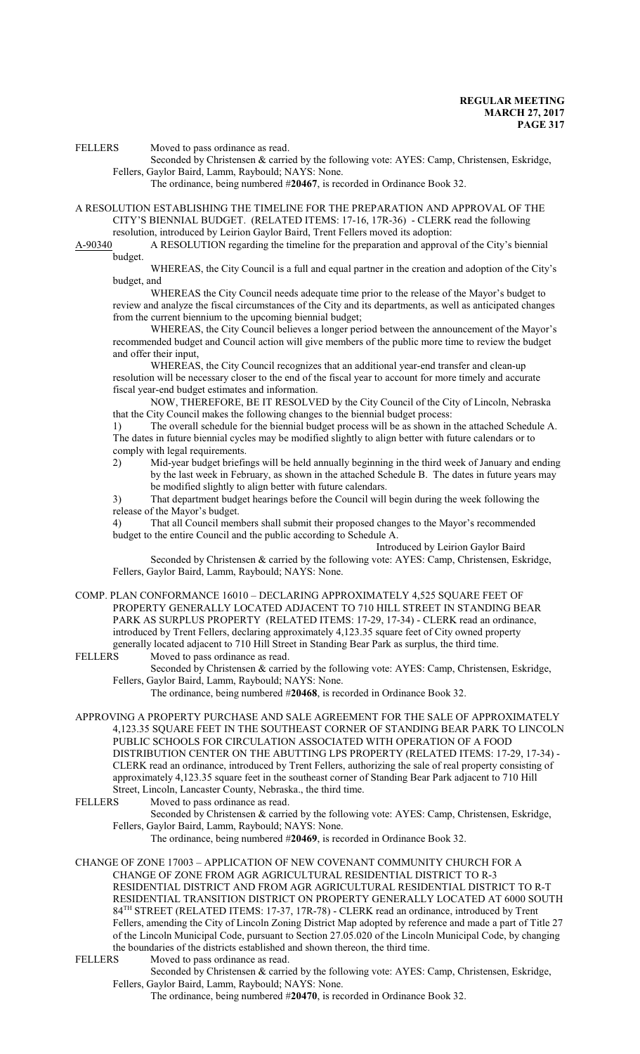FELLERS Moved to pass ordinance as read.

Seconded by Christensen & carried by the following vote: AYES: Camp, Christensen, Eskridge, Fellers, Gaylor Baird, Lamm, Raybould; NAYS: None.

The ordinance, being numbered #**20467**, is recorded in Ordinance Book 32.

A RESOLUTION ESTABLISHING THE TIMELINE FOR THE PREPARATION AND APPROVAL OF THE CITY'S BIENNIAL BUDGET. (RELATED ITEMS: 17-16, 17R-36) - CLERK read the following

resolution, introduced by Leirion Gaylor Baird, Trent Fellers moved its adoption:<br>A-90340 A RESOLUTION regarding the timeline for the preparation and approva A-RESOLUTION regarding the timeline for the preparation and approval of the City's biennial budget.

WHEREAS, the City Council is a full and equal partner in the creation and adoption of the City's budget, and

WHEREAS the City Council needs adequate time prior to the release of the Mayor's budget to review and analyze the fiscal circumstances of the City and its departments, as well as anticipated changes from the current biennium to the upcoming biennial budget;

WHEREAS, the City Council believes a longer period between the announcement of the Mayor's recommended budget and Council action will give members of the public more time to review the budget and offer their input,

WHEREAS, the City Council recognizes that an additional year-end transfer and clean-up resolution will be necessary closer to the end of the fiscal year to account for more timely and accurate fiscal year-end budget estimates and information.

NOW, THEREFORE, BE IT RESOLVED by the City Council of the City of Lincoln, Nebraska that the City Council makes the following changes to the biennial budget process:

1) The overall schedule for the biennial budget process will be as shown in the attached Schedule A. The dates in future biennial cycles may be modified slightly to align better with future calendars or to comply with legal requirements.

2) Mid-year budget briefings will be held annually beginning in the third week of January and ending by the last week in February, as shown in the attached Schedule B. The dates in future years may be modified slightly to align better with future calendars.

3) That department budget hearings before the Council will begin during the week following the release of the Mayor's budget.

4) That all Council members shall submit their proposed changes to the Mayor's recommended budget to the entire Council and the public according to Schedule A.

Introduced by Leirion Gaylor Baird

Seconded by Christensen & carried by the following vote: AYES: Camp, Christensen, Eskridge, Fellers, Gaylor Baird, Lamm, Raybould; NAYS: None.

COMP. PLAN CONFORMANCE 16010 – DECLARING APPROXIMATELY 4,525 SQUARE FEET OF PROPERTY GENERALLY LOCATED ADJACENT TO 710 HILL STREET IN STANDING BEAR PARK AS SURPLUS PROPERTY (RELATED ITEMS: 17-29, 17-34) - CLERK read an ordinance, introduced by Trent Fellers, declaring approximately 4,123.35 square feet of City owned property generally located adjacent to 710 Hill Street in Standing Bear Park as surplus, the third time.<br>FELLERS Moved to pass ordinance as read.

Moved to pass ordinance as read.

Seconded by Christensen & carried by the following vote: AYES: Camp, Christensen, Eskridge, Fellers, Gaylor Baird, Lamm, Raybould; NAYS: None.

The ordinance, being numbered #**20468**, is recorded in Ordinance Book 32.

APPROVING A PROPERTY PURCHASE AND SALE AGREEMENT FOR THE SALE OF APPROXIMATELY 4,123.35 SQUARE FEET IN THE SOUTHEAST CORNER OF STANDING BEAR PARK TO LINCOLN PUBLIC SCHOOLS FOR CIRCULATION ASSOCIATED WITH OPERATION OF A FOOD DISTRIBUTION CENTER ON THE ABUTTING LPS PROPERTY (RELATED ITEMS: 17-29, 17-34) - CLERK read an ordinance, introduced by Trent Fellers, authorizing the sale of real property consisting of approximately 4,123.35 square feet in the southeast corner of Standing Bear Park adjacent to 710 Hill Street, Lincoln, Lancaster County, Nebraska., the third time.<br>FELLERS Moved to pass ordinance as read.

Moved to pass ordinance as read.

Seconded by Christensen & carried by the following vote: AYES: Camp, Christensen, Eskridge, Fellers, Gaylor Baird, Lamm, Raybould; NAYS: None.

The ordinance, being numbered #**20469**, is recorded in Ordinance Book 32.

CHANGE OF ZONE 17003 – APPLICATION OF NEW COVENANT COMMUNITY CHURCH FOR A CHANGE OF ZONE FROM AGR AGRICULTURAL RESIDENTIAL DISTRICT TO R-3 RESIDENTIAL DISTRICT AND FROM AGR AGRICULTURAL RESIDENTIAL DISTRICT TO R-T RESIDENTIAL TRANSITION DISTRICT ON PROPERTY GENERALLY LOCATED AT 6000 SOUTH 84 TH STREET (RELATED ITEMS: 17-37, 17R-78) - CLERK read an ordinance, introduced by Trent Fellers, amending the City of Lincoln Zoning District Map adopted by reference and made a part of Title 27 of the Lincoln Municipal Code, pursuant to Section 27.05.020 of the Lincoln Municipal Code, by changing the boundaries of the districts established and shown thereon, the third time.<br>FELLERS Moved to pass ordinance as read.

Moved to pass ordinance as read.

Seconded by Christensen & carried by the following vote: AYES: Camp, Christensen, Eskridge, Fellers, Gaylor Baird, Lamm, Raybould; NAYS: None.

The ordinance, being numbered #**20470**, is recorded in Ordinance Book 32.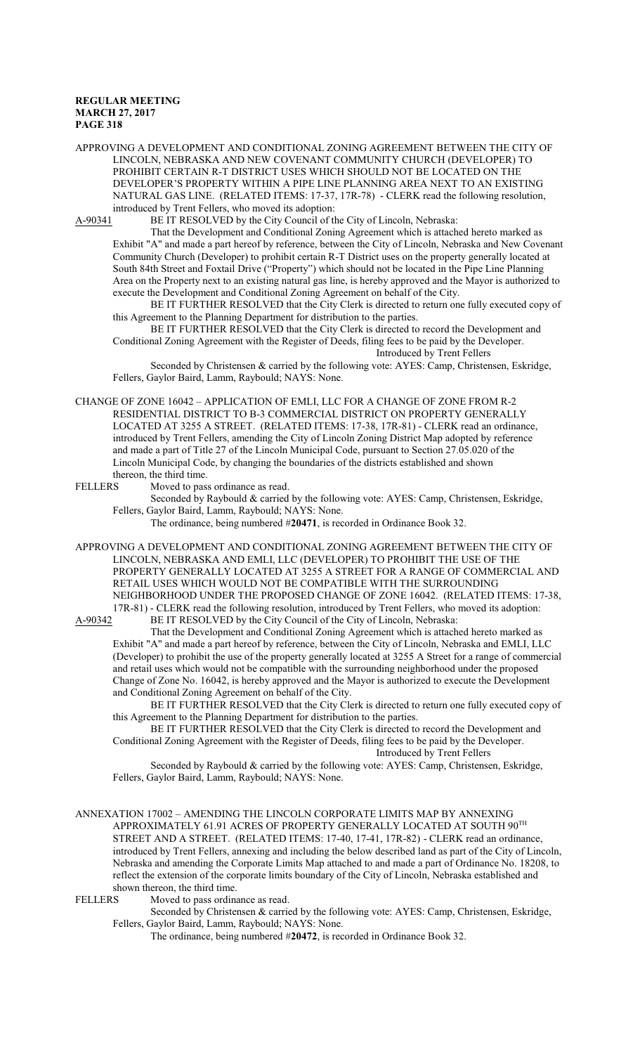APPROVING A DEVELOPMENT AND CONDITIONAL ZONING AGREEMENT BETWEEN THE CITY OF LINCOLN, NEBRASKA AND NEW COVENANT COMMUNITY CHURCH (DEVELOPER) TO PROHIBIT CERTAIN R-T DISTRICT USES WHICH SHOULD NOT BE LOCATED ON THE DEVELOPER'S PROPERTY WITHIN A PIPE LINE PLANNING AREA NEXT TO AN EXISTING NATURAL GAS LINE. (RELATED ITEMS: 17-37, 17R-78) - CLERK read the following resolution, introduced by Trent Fellers, who moved its adoption:<br>A-90341 BE IT RESOLVED by the City Council of the

BE IT RESOLVED by the City Council of the City of Lincoln, Nebraska:

That the Development and Conditional Zoning Agreement which is attached hereto marked as Exhibit "A" and made a part hereof by reference, between the City of Lincoln, Nebraska and New Covenant Community Church (Developer) to prohibit certain R-T District uses on the property generally located at South 84th Street and Foxtail Drive ("Property") which should not be located in the Pipe Line Planning Area on the Property next to an existing natural gas line, is hereby approved and the Mayor is authorized to execute the Development and Conditional Zoning Agreement on behalf of the City.

BE IT FURTHER RESOLVED that the City Clerk is directed to return one fully executed copy of this Agreement to the Planning Department for distribution to the parties.

BE IT FURTHER RESOLVED that the City Clerk is directed to record the Development and Conditional Zoning Agreement with the Register of Deeds, filing fees to be paid by the Developer. Introduced by Trent Fellers

Seconded by Christensen & carried by the following vote: AYES: Camp, Christensen, Eskridge, Fellers, Gaylor Baird, Lamm, Raybould; NAYS: None.

CHANGE OF ZONE 16042 – APPLICATION OF EMLI, LLC FOR A CHANGE OF ZONE FROM R-2 RESIDENTIAL DISTRICT TO B-3 COMMERCIAL DISTRICT ON PROPERTY GENERALLY LOCATED AT 3255 A STREET. (RELATED ITEMS: 17-38, 17R-81) - CLERK read an ordinance, introduced by Trent Fellers, amending the City of Lincoln Zoning District Map adopted by reference and made a part of Title 27 of the Lincoln Municipal Code, pursuant to Section 27.05.020 of the Lincoln Municipal Code, by changing the boundaries of the districts established and shown thereon, the third time.<br>FELLERS Moved to pass

Moved to pass ordinance as read.

Seconded by Raybould & carried by the following vote: AYES: Camp, Christensen, Eskridge, Fellers, Gaylor Baird, Lamm, Raybould; NAYS: None.

The ordinance, being numbered #**20471**, is recorded in Ordinance Book 32.

APPROVING A DEVELOPMENT AND CONDITIONAL ZONING AGREEMENT BETWEEN THE CITY OF LINCOLN, NEBRASKA AND EMLI, LLC (DEVELOPER) TO PROHIBIT THE USE OF THE PROPERTY GENERALLY LOCATED AT 3255 A STREET FOR A RANGE OF COMMERCIAL AND RETAIL USES WHICH WOULD NOT BE COMPATIBLE WITH THE SURROUNDING NEIGHBORHOOD UNDER THE PROPOSED CHANGE OF ZONE 16042. (RELATED ITEMS: 17-38, 17R-81) - CLERK read the following resolution, introduced by Trent Fellers, who moved its adoption:<br>A-90342 BE IT RESOLVED by the City Council of the City of Lincoln, Nebraska:

BE IT RESOLVED by the City Council of the City of Lincoln, Nebraska: That the Development and Conditional Zoning Agreement which is attached hereto marked as Exhibit "A" and made a part hereof by reference, between the City of Lincoln, Nebraska and EMLI, LLC (Developer) to prohibit the use of the property generally located at 3255 A Street for a range of commercial and retail uses which would not be compatible with the surrounding neighborhood under the proposed

Change of Zone No. 16042, is hereby approved and the Mayor is authorized to execute the Development and Conditional Zoning Agreement on behalf of the City.

BE IT FURTHER RESOLVED that the City Clerk is directed to return one fully executed copy of this Agreement to the Planning Department for distribution to the parties.

BE IT FURTHER RESOLVED that the City Clerk is directed to record the Development and Conditional Zoning Agreement with the Register of Deeds, filing fees to be paid by the Developer. Introduced by Trent Fellers

Seconded by Raybould & carried by the following vote: AYES: Camp, Christensen, Eskridge, Fellers, Gaylor Baird, Lamm, Raybould; NAYS: None.

ANNEXATION 17002 – AMENDING THE LINCOLN CORPORATE LIMITS MAP BY ANNEXING APPROXIMATELY 61.91 ACRES OF PROPERTY GENERALLY LOCATED AT SOUTH  $90^{\text{\tiny{TH}}}$ STREET AND A STREET. (RELATED ITEMS: 17-40, 17-41, 17R-82) - CLERK read an ordinance, introduced by Trent Fellers, annexing and including the below described land as part of the City of Lincoln, Nebraska and amending the Corporate Limits Map attached to and made a part of Ordinance No. 18208, to reflect the extension of the corporate limits boundary of the City of Lincoln, Nebraska established and shown thereon, the third time.

FELLERS Moved to pass ordinance as read.

Seconded by Christensen & carried by the following vote: AYES: Camp, Christensen, Eskridge, Fellers, Gaylor Baird, Lamm, Raybould; NAYS: None.

The ordinance, being numbered #**20472**, is recorded in Ordinance Book 32.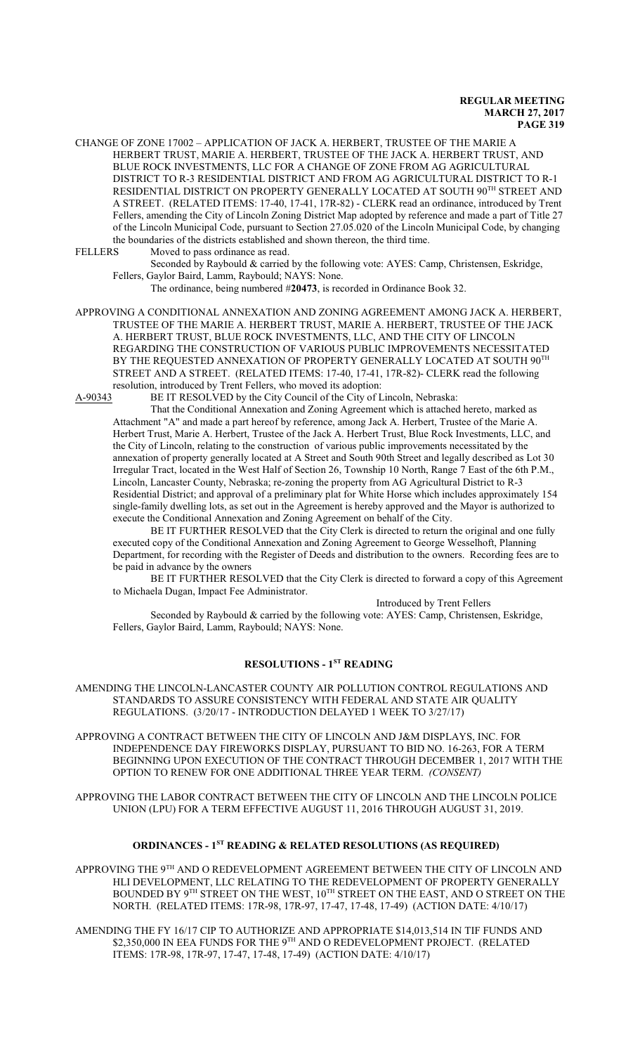CHANGE OF ZONE 17002 – APPLICATION OF JACK A. HERBERT, TRUSTEE OF THE MARIE A HERBERT TRUST, MARIE A. HERBERT, TRUSTEE OF THE JACK A. HERBERT TRUST, AND BLUE ROCK INVESTMENTS, LLC FOR A CHANGE OF ZONE FROM AG AGRICULTURAL DISTRICT TO R-3 RESIDENTIAL DISTRICT AND FROM AG AGRICULTURAL DISTRICT TO R-1 RESIDENTIAL DISTRICT ON PROPERTY GENERALLY LOCATED AT SOUTH 90<sup>th</sup> STREET AND A STREET. (RELATED ITEMS: 17-40, 17-41, 17R-82) - CLERK read an ordinance, introduced by Trent Fellers, amending the City of Lincoln Zoning District Map adopted by reference and made a part of Title 27 of the Lincoln Municipal Code, pursuant to Section 27.05.020 of the Lincoln Municipal Code, by changing the boundaries of the districts established and shown thereon, the third time.

FELLERS Moved to pass ordinance as read.

Seconded by Raybould & carried by the following vote: AYES: Camp, Christensen, Eskridge, Fellers, Gaylor Baird, Lamm, Raybould; NAYS: None.

The ordinance, being numbered #**20473**, is recorded in Ordinance Book 32.

APPROVING A CONDITIONAL ANNEXATION AND ZONING AGREEMENT AMONG JACK A. HERBERT, TRUSTEE OF THE MARIE A. HERBERT TRUST, MARIE A. HERBERT, TRUSTEE OF THE JACK A. HERBERT TRUST, BLUE ROCK INVESTMENTS, LLC, AND THE CITY OF LINCOLN REGARDING THE CONSTRUCTION OF VARIOUS PUBLIC IMPROVEMENTS NECESSITATED BY THE REQUESTED ANNEXATION OF PROPERTY GENERALLY LOCATED AT SOUTH  $90^{\mathrm{TH}}$ STREET AND A STREET. (RELATED ITEMS: 17-40, 17-41, 17R-82)- CLERK read the following resolution, introduced by Trent Fellers, who moved its adoption:<br>A-90343 BE IT RESOLVED by the City Council of the City of L

BE IT RESOLVED by the City Council of the City of Lincoln, Nebraska:

That the Conditional Annexation and Zoning Agreement which is attached hereto, marked as Attachment "A" and made a part hereof by reference, among Jack A. Herbert, Trustee of the Marie A. Herbert Trust, Marie A. Herbert, Trustee of the Jack A. Herbert Trust, Blue Rock Investments, LLC, and the City of Lincoln, relating to the construction of various public improvements necessitated by the annexation of property generally located at A Street and South 90th Street and legally described as Lot 30 Irregular Tract, located in the West Half of Section 26, Township 10 North, Range 7 East of the 6th P.M., Lincoln, Lancaster County, Nebraska; re-zoning the property from AG Agricultural District to R-3 Residential District; and approval of a preliminary plat for White Horse which includes approximately 154 single-family dwelling lots, as set out in the Agreement is hereby approved and the Mayor is authorized to execute the Conditional Annexation and Zoning Agreement on behalf of the City.

BE IT FURTHER RESOLVED that the City Clerk is directed to return the original and one fully executed copy of the Conditional Annexation and Zoning Agreement to George Wesselhoft, Planning Department, for recording with the Register of Deeds and distribution to the owners. Recording fees are to be paid in advance by the owners

BE IT FURTHER RESOLVED that the City Clerk is directed to forward a copy of this Agreement to Michaela Dugan, Impact Fee Administrator.

Introduced by Trent Fellers

Seconded by Raybould & carried by the following vote: AYES: Camp, Christensen, Eskridge, Fellers, Gaylor Baird, Lamm, Raybould; NAYS: None.

# **RESOLUTIONS - 1ST READING**

AMENDING THE LINCOLN-LANCASTER COUNTY AIR POLLUTION CONTROL REGULATIONS AND STANDARDS TO ASSURE CONSISTENCY WITH FEDERAL AND STATE AIR QUALITY REGULATIONS. (3/20/17 - INTRODUCTION DELAYED 1 WEEK TO 3/27/17)

APPROVING A CONTRACT BETWEEN THE CITY OF LINCOLN AND J&M DISPLAYS, INC. FOR INDEPENDENCE DAY FIREWORKS DISPLAY, PURSUANT TO BID NO. 16-263, FOR A TERM BEGINNING UPON EXECUTION OF THE CONTRACT THROUGH DECEMBER 1, 2017 WITH THE OPTION TO RENEW FOR ONE ADDITIONAL THREE YEAR TERM. *(CONSENT)*

APPROVING THE LABOR CONTRACT BETWEEN THE CITY OF LINCOLN AND THE LINCOLN POLICE UNION (LPU) FOR A TERM EFFECTIVE AUGUST 11, 2016 THROUGH AUGUST 31, 2019.

# **ORDINANCES - 1ST READING & RELATED RESOLUTIONS (AS REQUIRED)**

APPROVING THE  $9^{\text{\tiny{TH}}}$  AND O REDEVELOPMENT AGREEMENT BETWEEN THE CITY OF LINCOLN AND HLI DEVELOPMENT, LLC RELATING TO THE REDEVELOPMENT OF PROPERTY GENERALLY BOUNDED BY 9 $^{\rm TH}$  STREET ON THE WEST,  $10^{\rm TH}$  STREET ON THE EAST, AND O STREET ON THE NORTH. (RELATED ITEMS: 17R-98, 17R-97, 17-47, 17-48, 17-49) (ACTION DATE: 4/10/17)

AMENDING THE FY 16/17 CIP TO AUTHORIZE AND APPROPRIATE \$14,013,514 IN TIF FUNDS AND \$2,350,000 IN EEA FUNDS FOR THE 9TH AND O REDEVELOPMENT PROJECT. (RELATED ITEMS: 17R-98, 17R-97, 17-47, 17-48, 17-49) (ACTION DATE: 4/10/17)